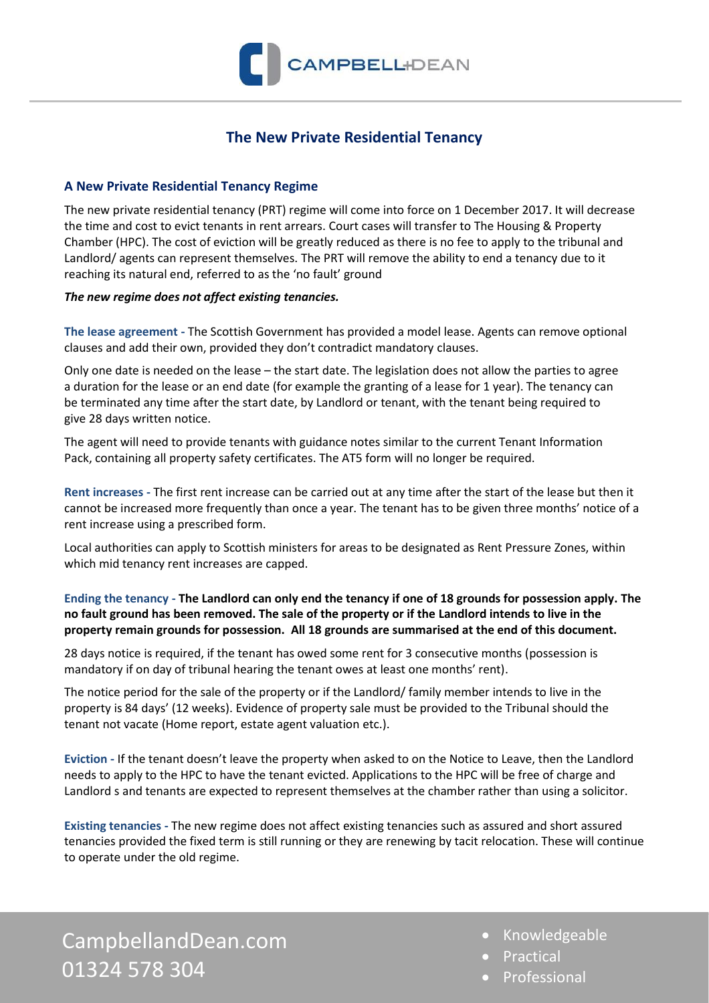

# **The New Private Residential Tenancy**

## **A New Private Residential Tenancy Regime**

The new private residential tenancy (PRT) regime will come into force on 1 December 2017. It will decrease the time and cost to evict tenants in rent arrears. Court cases will transfer to The Housing & Property Chamber (HPC). The cost of eviction will be greatly reduced as there is no fee to apply to the tribunal and Landlord/ agents can represent themselves. The PRT will remove the ability to end a tenancy due to it reaching its natural end, referred to as the 'no fault' ground

#### *The new regime does not affect existing tenancies.*

**The lease agreement -** The Scottish Government has provided a model lease. Agents can remove optional clauses and add their own, provided they don't contradict mandatory clauses.

Only one date is needed on the lease – the start date. The legislation does not allow the parties to agree a duration for the lease or an end date (for example the granting of a lease for 1 year). The tenancy can be terminated any time after the start date, by Landlord or tenant, with the tenant being required to give 28 days written notice.

The agent will need to provide tenants with guidance notes similar to the current Tenant Information Pack, containing all property safety certificates. The AT5 form will no longer be required.

**Rent increases -** The first rent increase can be carried out at any time after the start of the lease but then it cannot be increased more frequently than once a year. The tenant has to be given three months' notice of a rent increase using a prescribed form.

Local authorities can apply to Scottish ministers for areas to be designated as Rent Pressure Zones, within which mid tenancy rent increases are capped.

## **Ending the tenancy - The Landlord can only end the tenancy if one of 18 grounds for possession apply. The no fault ground has been removed. The sale of the property or if the Landlord intends to live in the property remain grounds for possession. All 18 grounds are summarised at the end of this document.**

28 days notice is required, if the tenant has owed some rent for 3 consecutive months (possession is mandatory if on day of tribunal hearing the tenant owes at least one months' rent).

The notice period for the sale of the property or if the Landlord/ family member intends to live in the property is 84 days' (12 weeks). Evidence of property sale must be provided to the Tribunal should the tenant not vacate (Home report, estate agent valuation etc.).

**Eviction -** If the tenant doesn't leave the property when asked to on the Notice to Leave, then the Landlord needs to apply to the HPC to have the tenant evicted. Applications to the HPC will be free of charge and Landlord s and tenants are expected to represent themselves at the chamber rather than using a solicitor.

**Existing tenancies -** The new regime does not affect existing tenancies such as assured and short assured tenancies provided the fixed term is still running or they are renewing by tacit relocation. These will continue to operate under the old regime.

CampbellandDean.com 01324 578 304

- Knowledgeable
- Practical
- **Professional**